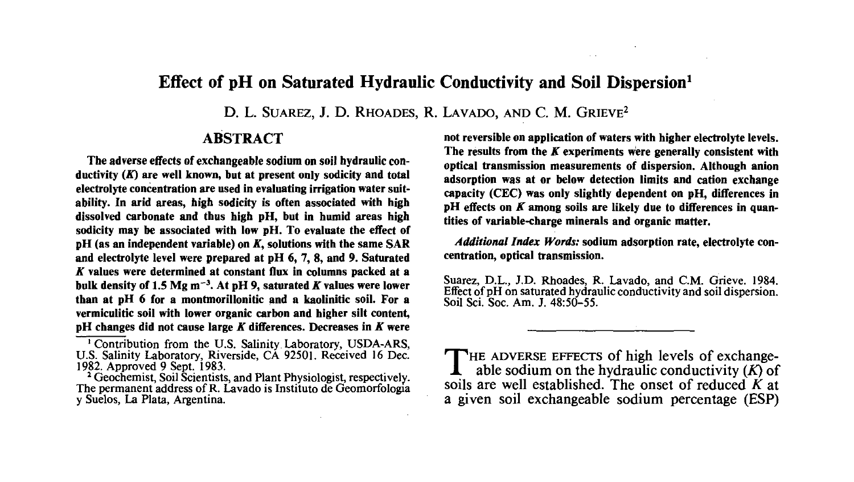# **Effect of pH on Saturated Hydraulic Conductivity and Soil Dispersion<sup>1</sup>**

D. L. SUAREZ, J. D. RHOADES, R. LAVADO, AND C. M. GRIEVE<sup>2</sup>

# **ABSTRACT**

**The adverse effects of exchangeable sodium on soil hydraulic conductivity** *(K)* **are well known, but at present only sodicity and total electrolyte concentration are used in evaluating irrigation water suitability. In arid areas, high sodicity is often associated with high dissolved carbonate and thus high pH, but in humid areas high sodicity may be associated with low pH. To evaluate the effect of pH** (as an independent variable) on K, solutions with the same SAR **and electrolyte level were prepared at pH 6, 7, 8, and 9. Saturated A' values were determined at constant flux in columns packed at a bulk density of 1.5 Mg m'<sup>3</sup> . At pH 9, saturated** *K* **values were lower than at pH 6 for a montmorillonitic and a kaolinitic soil. For a vermiculitic soil with lower organic carbon and higher silt content, pH changes did not cause large** *K* **differences. Decreases in A" were** **not reversible on application of waters with higher electrolyte levels. The results from the** *K* **experiments were generally consistent with optical transmission measurements of dispersion. Although anion adsorption was at or below detection limits and cation exchange capacity (CEC) was only slightly dependent on pH, differences in** pH effects on K among soils are likely due to differences in quan**tities of variable-charge minerals and organic matter.**

*Additional Index Words:* **sodium adsorption rate, electrolyte concentration, optical transmission.**

Suarez, D.L., J.D. Rhoades, R. Lavado, and CM. Grieve. 1984. Effect of pH on saturated hydraulic conductivity and soil dispersion. Soil Sci. Soc. Am. J. 48:50-55.

THE ADVERSE EFFECTS of high levels of exchange-<br>able sodium on the hydraulic conductivity  $(K)$  of able sodium on the hydraulic conductivity *(K)* of soils are well established. The onset of reduced *K* at a given soil exchangeable sodium percentage (ESP)

<sup>&</sup>lt;sup>1</sup> Contribution from the U.S. Salinity Laboratory, USDA-ARS, U.S. Salinity Laboratory, Riverside, CA 92501. Received 16 Dec. 1982. Approved 9 Sept. 1983.

<sup>&</sup>lt;sup>2</sup> Geochemist, Soil Scientists, and Plant Physiologist, respectively. The permanent address of R. Lavado is Institute de Geomorfologia y Suelos, La Plata, Argentina.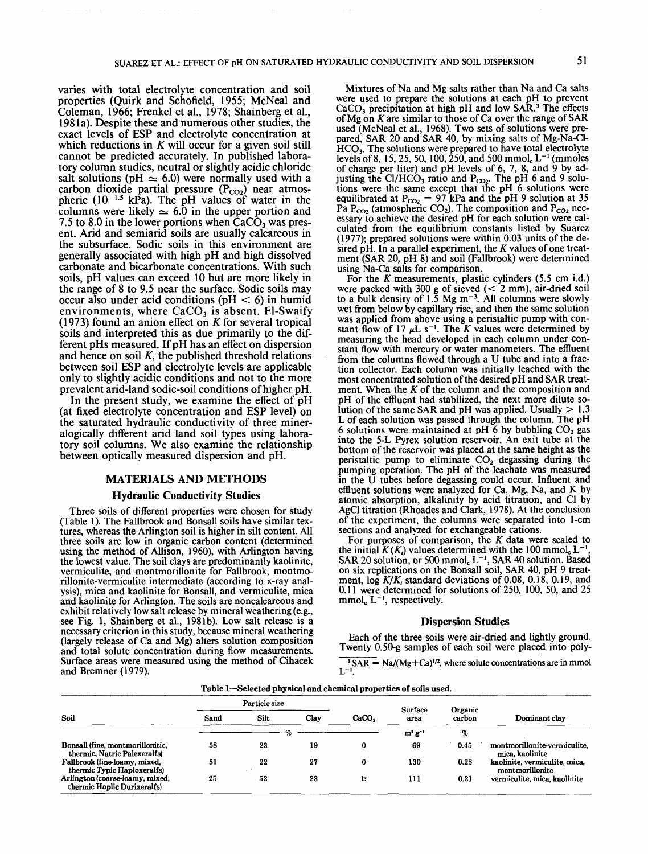varies with total electrolyte concentration and soil properties (Quirk and Schofield, 1955; McNeal and Coleman, 1966; Frenkel et al., 1978; Shainberg et al., 198la). Despite these and numerous other studies, the exact levels of ESP and electrolyte concentration at which reductions in *K* will occur for a given soil still cannot be predicted accurately. In published laboratory column studies, neutral or slightly acidic chloride salt solutions (pH  $\approx$  6.0) were normally used with a carbon dioxide partial pressure  $(P_{CO_2})$  near atmospheric  $(10^{-1.5} \text{ kPa})$ . The pH values of water in the columns were likely  $\simeq 6.0$  in the upper portion and 7.5 to 8.0 in the lower portions when  $CaCO<sub>3</sub>$  was present. Arid and semiarid soils are usually calcareous in the subsurface. Sodic soils in this environment are generally associated with high pH and high dissolved carbonate and bicarbonate concentrations. With such soils, pH values can exceed 10 but are more likely in the range of 8 to 9.5 near the surface. Sodic soils may occur also under acid conditions ( $pH < 6$ ) in humid environments, where  $CaCO<sub>3</sub>$  is absent. El-Swaify (1973) found an anion effect on *K* for several tropical soils and interpreted this as due primarily to the different pHs measured. If pH has an effect on dispersion and hence on soil *K,* the published threshold relations between soil ESP and electrolyte levels are applicable only to slightly acidic conditions and not to the more prevalent arid-land sodic-soil conditions of higher pH.

In the present study, we examine the effect of pH (at fixed electrolyte concentration and ESP level) on the saturated hydraulic conductivity of three mineralogically different arid land soil types using laboratory soil columns. We also examine the relationship between optically measured dispersion and pH.

#### **MATERIALS AND METHODS**

#### **Hydraulic Conductivity Studies**

Three soils of different properties were chosen for study (Table 1). The Fallbrook and Bonsall soils have similar textures, whereas the Arlington soil is higher in silt content. All three soils are low in organic carbon content (determined using the method of Allison, 1960), with Arlington having the lowest value. The soil clays are predominantly kaolinite, vermiculite, and montmorillonite for Fallbrook, montmorillonite-vermiculite intermediate (according to x-ray analysis), mica and kaolinite for Bonsall, and vermiculite, mica and kaolinite for Arlington. The soils are noncalcareous and exhibit relatively low salt release by mineral weathering (e.g., see Fig. 1, Shainberg et al., 1981b). Low salt release is a necessary criterion in this study, because mineral weathering (largely release of Ca and Mg) alters solution composition and total solute concentration during flow measurements. Surface areas were measured using the method of Cihacek and Bremner (1979).

Mixtures of Na and Mg salts rather than Na and Ca salts were used to prepare the solutions at each pH to prevent CaCO<sub>3</sub> precipitation at high pH and low SAR.<sup>3</sup> The effects of Mg on *K* are similar to those of Ca over the range of SAR used (McNeal et al., 1968). Two sets of solutions were prepared, SAR 20 and SAR 40, by mixing salts of Mg-Na-Cl-HCOj. The solutions were prepared to have total electrolyte levels of 8, 15, 25, 50, 100, 250, and 500 mmol<sub>c</sub> L<sup>-1</sup> (mmoles of charge per liter) and  $pH$  levels of 6, 7, 8, and  $\dot{9}$  by adjusting the Cl/HCO<sub>3</sub> ratio and  $P_{CO_2}$ . The pH 6 and 9 solutions were the same except that the pH 6 solutions were equilibrated at  $P_{CO_2} = 97$  kPa and the pH 9 solution at 35 Pa  $P_{CO_2}$  (atmospheric CO<sub>2</sub>). The composition and  $P_{CO_2}$  necessary to achieve the desired pH for each solution were calculated from the equilibrium constants listed by Suarez (1977); prepared solutions were within 0.03 units of the desired pH. In a parallel experiment, the *K* values of one treatment (SAR 20, pH 8) and soil (Fallbrook) were determined using Na-Ca salts for comparison.

For the *K* measurements, plastic cylinders (5.5 cm i.d.) were packed with  $300 \text{ g}$  of sieved ( $< 2 \text{ mm}$ ), air-dried soil to a bulk density of  $1.5 \text{ Mg m}^{-3}$ . All columns were slowly wet from below by capillary rise, and then the same solution was applied from above using a peristaltic pump with constant flow of 17  $\mu$ L s<sup>-1</sup>. The K values were determined by measuring the head developed in each column under constant flow with mercury or water manometers. The effluent from the columns flowed through a U tube and into a fraction collector. Each column was initially leached with the most concentrated solution of the desired pH and SAR treatment. When the *K* of the column and the composition and pH of the effluent had stabilized, the next more dilute solution of the same SAR and pH was applied. Usually  $> 1.3$ L of each solution was passed through the column. The pH 6 solutions were maintained at pH 6 by bubbling  $CO<sub>2</sub>$  gas into the 5-L Pyrex solution reservoir. An exit tube at the bottom of the reservoir was placed at the same height as the peristaltic pump to eliminate  $CO<sub>2</sub>$  degassing during the pumping operation. The pH of the leachate was measured in the U tubes before degassing could occur. Influent and effluent solutions were analyzed for Ca, Mg, Na, and K by atomic absorption, alkalinity by acid titration, and Cl by AgCl titration (Rhoades and Clark, 1978). At the conclusion of the experiment, the columns were separated into 1-cm sections and analyzed for exchangeable cations.

For purposes of comparison, the *K* data were scaled to the initial  $K(K_i)$  values determined with the 100 mmol. L<sup>-</sup> the initial  $K(K_i)$  values determined with the 100 mmol<sub>c</sub> L<sup>-1</sup>,<br>SAR 20 solution, or 500 mmol<sub>c</sub> L<sup>-1</sup>, SAR 40 solution. Based on six replications on the Bonsall soil, SAR 40, pH 9 treatment,  $\log K/K_i$  standard deviations of 0.08, 0.18, 0.19, and 0.11 were determined for solutions of 250, 100, 50, and 25  $mmol<sub>c</sub>$  L<sup>-1</sup>, respectively.

#### **Dispersion Studies**

Each of the three soils were air-dried and lightly ground. Twenty 0.50-g samples of each soil were placed into poly-

 $\overline{3}$  SAR = Na/(Mg+Ca)<sup>1/2</sup>, where solute concentrations are in mmol

| Soil                                                             | Particle size |      |      |          | Surface      | Organic |                                                  |  |
|------------------------------------------------------------------|---------------|------|------|----------|--------------|---------|--------------------------------------------------|--|
|                                                                  | Sand          | Silt | Clav | CaCO,    | area         | carbon  | Dominant clay                                    |  |
|                                                                  |               |      | %    |          | $m^2 g^{-1}$ | %       |                                                  |  |
| Bonsall (fine, montmorillonitic,<br>thermic, Natric Palexeralfs) | 58            | 23   | 19   |          | 69           | 0.45    | montmorillonite-vermiculite.<br>mica. kaolinite  |  |
| Fallbrook (fine-loamy, mixed,<br>thermic Typic Haploxeralfs)     | 51            | 22   | 27   | $\Omega$ | 130          | 0.28    | kaolinite, vermiculite, mica,<br>montmorillonite |  |
| Arlington (coarse-loamy, mixed,<br>thermic Haplic Durixeralfs)   | 25            | 52   | 23   | tr       | 111          | 0.21    | vermiculite, mica, kaolinite                     |  |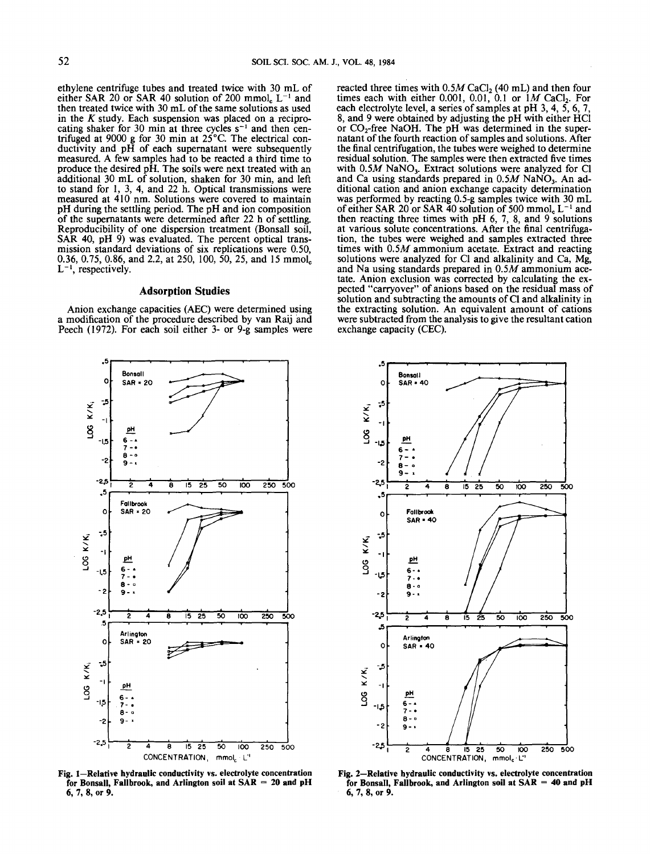ethylene centrifuge tubes and treated twice with 30 mL of either SAR 20 or SAR 40 solution of  $200 \text{ mmol}_c$  L<sup>-1</sup> and then treated twice with 30 mL of the same solutions as used in the *K* study. Each suspension was placed on a reciprocating shaker for 30 min at three cycles  $s^{-1}$  and then centrifuged at 9000 g for 30 min at 25°C. The electrical conductivity and  $pH$  of each supernatant were subsequently measured. A few samples had to be reacted a third time to produce the desired pH. The soils were next treated with an additional 30 mL of solution, shaken for 30 min, and left to stand for 1, 3, 4, and 22 h. Optical transmissions were measured at 410 nm. Solutions were covered to maintain pH during the settling period. The pH and ion composition of the supernatants were determined after 22 h of settling. Reproducibility of one dispersion treatment (Bonsall soil, SAR 40, pH 9) was evaluated. The percent optical transmission standard deviations of six replications were 0.50, 0.36, 0.75, 0.86, and 2.2, at 250, 100, 50, 25, and 15 mmol<sub>c</sub>  $L^{-1}$ , respectively.

# **Adsorption Studies**

Anion exchange capacities (AEC) were determined using a modification of the procedure described by van Raij and Peech (1972). For each soil either 3- or 9-g samples were

reacted three times with  $0.5M$  CaCl<sub>2</sub> (40 mL) and then four times each with either 0.001, 0.01, 0.1 or *\M* CaCl2. For each electrolyte level, a series of samples at pH 3, 4, 5, 6, 7, 8, and 9 were obtained by adjusting the pH with either HC1 or  $CO<sub>2</sub>$ -free NaOH. The pH was determined in the supernatant of the fourth reaction of samples and solutions. After the final centrifugation, the tubes were weighed to determine residual solution. The samples were then extracted five times with  $0.5M$  NaNO<sub>3</sub>. Extract solutions were analyzed for Cl and Ca using standards prepared in  $0.5M$  NaNO<sub>3</sub>. An additional cation and anion exchange capacity determination was performed by reacting 0.5-g samples twice with 30 mL of either SAR 20 or SAR 40 solution of 500 mmol<sub>c</sub>  $L^{-1}$  and then reacting three times with  $pH_1$  6, 7, 8, and 9 solutions at various solute concentrations. After the final centrifugation, the tubes were weighed and samples extracted three times with *Q.5M* ammonium acetate. Extract and reacting solutions were analyzed for Cl and alkalinity and Ca, Mg, and Na using standards prepared in 0.5M ammonium acetate. Anion exclusion was corrected by calculating the expected "carryover" of anions based on the residual mass of solution and subtracting the amounts of Cl and alkalinity in the extracting solution. An equivalent amount of cations were subtracted from the analysis to give the resultant cation exchange capacity (CEC).



**Fig. 1—Relative hydraulic conductivity vs. electrolyte concentration for Bonsall, Fallbrook, and Arlington soil at SAR = 20 and pH 6, 7, 8, or 9.**



**Fig. 2—Relative hydraulic conductivity vs. electrolyte concentration for Bonsall, Fallbrook, and Arlington soil at SAR = 40 and pH 6, 7, 8, or 9.**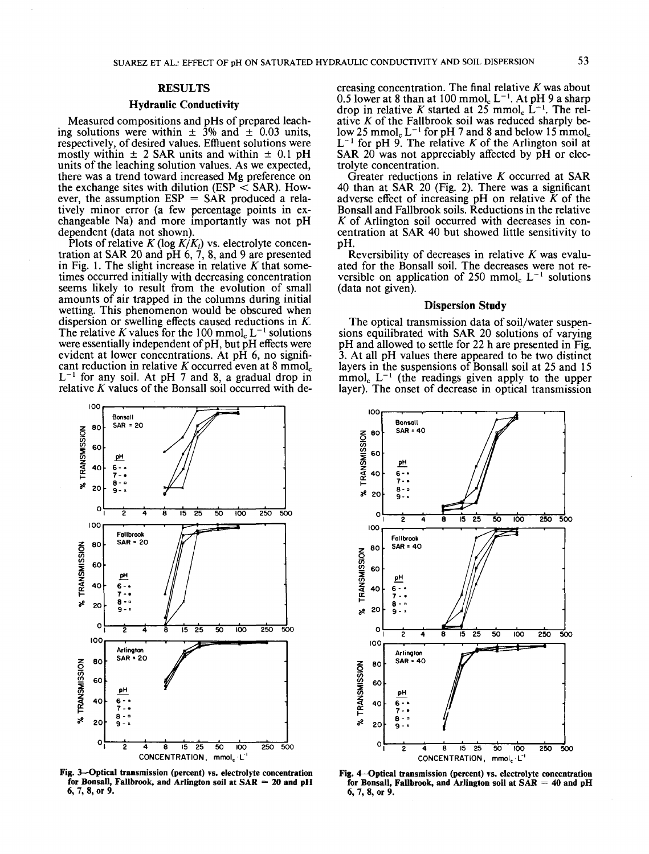#### **Hydraulic Conductivity**

Measured compositions and pHs of prepared leaching solutions were within  $\pm$  3% and  $\pm$  0.03 units, respectively, of desired values. Effluent solutions were mostly within  $\pm$  2 SAR units and within  $\pm$  0.1 pH units of the leaching solution values. As we expected, there was a trend toward increased Mg preference on the exchange sites with dilution (ESP  $\leq$  SAR). However, the assumption  $ESP = SAR$  produced a relatively minor error (a few percentage points in exchangeable Na) and more importantly was not pH dependent (data not shown).

Plots of relative  $K(\log K/K_i)$  vs. electrolyte concentration at SAR 20 and  $pH$  6, 7, 8, and 9 are presented in Fig. 1. The slight increase in relative *K* that sometimes occurred initially with decreasing concentration seems likely to result from the evolution of small amounts of air trapped in the columns during initial wetting. This phenomenon would be obscured when dispersion or swelling effects caused reductions in *K.* The relative K values for the  $100 \text{ mmol}_c L^{-1}$  solutions were essentially independent of pH, but pH effects were evident at lower concentrations. At pH 6, no significant reduction in relative *K* occurred even at 8 mmol<sub>c</sub>  $L^{-1}$  for any soil. At pH 7 and 8, a gradual drop in relative  $K$  values of the Bonsall soil occurred with de-

creasing concentration. The final relative *K* was about 0.5 lower at 8 than at  $100 \text{ mmol}_c$  L<sup>-1</sup>. At pH 9 a sharp drop in relative *K* started at 25 mmol<sub>c</sub>  $L^{-1}$ . The relative *K* of the Fallbrook soil was reduced sharply below 25 mmol<sub>c</sub>  $L^{-1}$  for pH 7 and 8 and below 15 mmol<sub>c</sub>  $L^{-1}$  for pH 9. The relative *K* of the Arlington soil at SAR  $20$  was not appreciably affected by  $pH$  or electrolyte concentration.

Greater reductions in relative *K* occurred at SAR 40 than at SAR 20 (Fig. 2). There was a significant adverse effect of increasing pH on relative *K* of the Bonsall and Fallbrook soils. Reductions in the relative *K* of Arlington soil occurred with decreases in concentration at SAR 40 but showed little sensitivity to pH.

Reversibility of decreases in relative *K* was evaluated for the Bonsall soil. The decreases were not reversible on application of  $250 \text{ mmol}_c$   $L^{-1}$  solutions (data not given).

# **Dispersion Study**

The optical transmission data of soil/water suspensions equilibrated with SAR 20 solutions of varying pH and allowed to settle for 22 h are presented in Fig. 3. At all pH values there appeared to be two distinct layers in the suspensions of Bonsall soil at 25 and 15  $\text{mmol}_c$   $L^{-1}$  (the readings given apply to the upper layer). The onset of decrease in optical transmission



**Fig. 3—Optical transmission (percent) vs. electrolyte concentration for Bonsall, Fallbrook, and Arlington soil at SAR = 20 and pH 6, 7, 8, or 9.**



**Fig.** *4***—Optical transmission (percent) vs. electrolyte concentration for Bonsall, Fallbrook, and Arlington soil at SAR = 40 and pH 6, 7, 8, or 9.**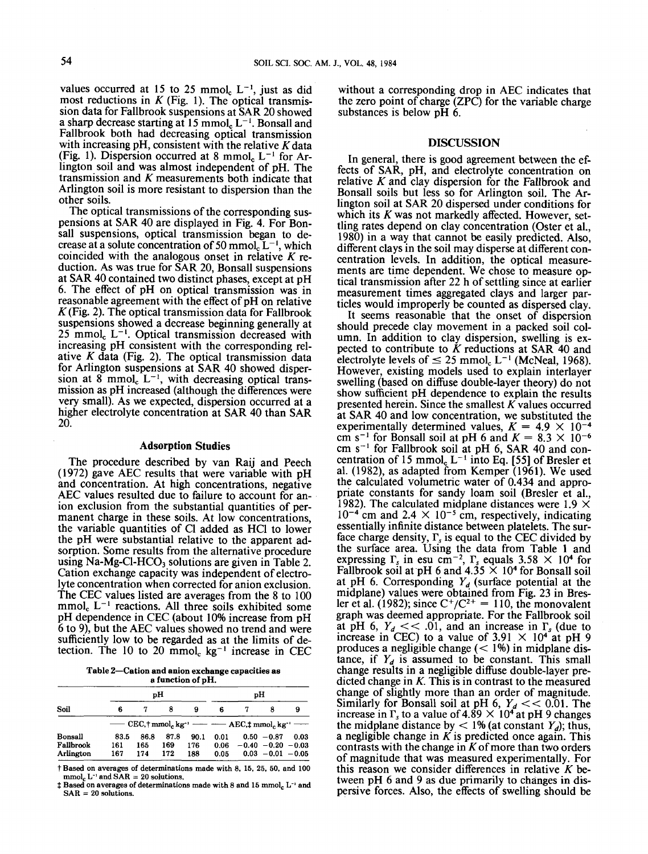values occurred at 15 to 25 mmol<sub>c</sub>  $L^{-1}$ , just as did most reductions in  $K$  (Fig. 1). The optical transmission data for Fallbrook suspensions at SAR 20 showed a sharp decrease starting at  $15 \text{ mmol}_c L^{-1}$ . Bonsall and Fallbrook both had decreasing optical transmission with increasing pH, consistent with the relative  $K$  data (Fig. 1). Dispersion occurred at 8 mmol<sub>c</sub>  $L^{-1}$  for Arlington soil and was almost independent of pH. The transmission and *K* measurements both indicate that Arlington soil is more resistant to dispersion than the other soils.

The optical transmissions of the corresponding suspensions at SAR 40 are displayed in Fig. 4. For Bonsall suspensions, optical transmission began to decrease at a solute concentration of  $50 \text{ mmol}_c L^{-1}$ , which coincided with the analogous onset in relative *K* reduction. As was true for SAR 20, Bonsall suspensions at SAR 40 contained two distinct phases, except at pH 6. The effect of pH on optical transmission was in reasonable agreement with the effect of pH on relative  $K$ (Fig. 2). The optical transmission data for Fallbrook suspensions showed a decrease beginning generally at  $25 \text{ mmol}_c$   $L^{-1}$ . Optical transmission decreased with increasing pH consistent with the corresponding relative *K* data (Fig. 2). The optical transmission data for Arlington suspensions at SAR 40 showed dispersion at 8 mmol<sub>c</sub>  $L^{-1}$ , with decreasing optical transmission as pH increased (although the differences were very small). As we expected, dispersion occurred at a higher electrolyte concentration at SAR 40 than SAR 20.

# **Adsorption Studies**

The procedure described by van Raij and Peech (1972) gave AEC results that were variable with pH and concentration. At high concentrations, negative AEC values resulted due to failure to account for anion exclusion from the substantial quantities of permanent charge in these soils. At low concentrations, the variable quantities of Cl added as HC1 to lower the pH were substantial relative to the apparent adsorption. Some results from the alternative procedure using Na-Mg-Cl-HCO<sub>3</sub> solutions are given in Table 2. Cation exchange capacity was independent of electrolyte concentration when corrected for anion exclusion. The CEC values listed are averages from the 8 to 100  $\text{mmol}_c$  L<sup>-1</sup> reactions. All three soils exhibited some pH dependence in CEC (about 10% increase from pH 6 to 9), but the AEC values showed no trend and were sufficiently low to be regarded as at the limits of detection. The  $10$  to  $20 \text{ mmol}_c$  kg<sup>-1</sup> increase in CEC

**Table 2—Cation and anion exchange capacities as a function of pH.**

|           |      | pН   |      | pН   |      |                                                                                                                                                        |                       |      |
|-----------|------|------|------|------|------|--------------------------------------------------------------------------------------------------------------------------------------------------------|-----------------------|------|
| Soil      | 6    |      | 8    | 9    | 6    |                                                                                                                                                        |                       | 9    |
|           |      |      |      |      |      | $\overline{\phantom{a}}$ CEC, $\dagger$ mmol, kg <sup>-1</sup> $\overline{\phantom{a}}$ AEC, $\dagger$ mmol, kg <sup>-1</sup> $\overline{\phantom{a}}$ |                       |      |
| Bonsall   | 83.5 | 86.8 | 87.8 | 90.1 | 0.01 |                                                                                                                                                        | $0.50 - 0.87$         | 0.03 |
| Fallbrook | 161  | 165  | 169  | 176  | 0.06 |                                                                                                                                                        | $-0.40 - 0.20 - 0.03$ |      |
| Arlington | 167  | 174  | 172  | 188  | 0.05 |                                                                                                                                                        | $0.03 - 0.01 - 0.05$  |      |

t Based on averages of determinations made with 8, 15, 25, 50, and 100  $mmol<sub>c</sub> L<sup>-1</sup>$  and  $SAR = 20$  solutions.

*t* Based on averages of determinations made with 8 and 15 mmol,. L~' and  $SAR = 20$  solutions.

without a corresponding drop in AEC indicates that the zero point of charge  $(ZPC)$  for the variable charge substances is below pH 6.

# **DISCUSSION**

In general, there is good agreement between the effects of SAR, pH, and electrolyte concentration on relative *K* and clay dispersion for the Fallbrook and Bonsall soils but less so for Arlington soil. The Arlington soil at SAR 20 dispersed under conditions for which its *K* was not markedly affected. However, settling rates depend on clay concentration (Oster et al., 1980) in a way that cannot be easily predicted. Also, different clays in the soil may disperse at different concentration levels. In addition, the optical measurements are time dependent. We chose to measure optical transmission after 22 h of settling since at earlier measurement times aggregated clays and larger particles would improperly be counted as dispersed clay.

It seems reasonable that the onset of dispersion should precede clay movement in a packed soil column. In addition to clay dispersion, swelling is expected to contribute to *K* reductions at SAR 40 and electrolyte levels of  $\leq 25$  mmol<sub>c</sub> L<sup>-1</sup> (McNeal, 1968). However, existing models used to explain interlayer swelling (based on diffuse double-layer theory) do not show sufficient pH dependence to explain the results presented herein. Since the smallest  $K$  values occurred at SAR 40 and low concentration, we substituted the experimentally determined values,  $K = 4.9 \times 10^{-4}$ cm s<sup>-1</sup> for Bonsall soil at pH 6 and  $K = 8.3 \times 10^{-6}$  $cm s^{-1}$  for Fallbrook soil at pH 6, SAR 40 and concentration of 15 mmol<sub>c</sub>  $L^{-1}$  into Eq. [55] of Bresler et al. (1982), as adapted from Kemper (1961). We used the calculated volumetric water of 0.434 and appropriate constants for sandy loam soil (Bresler et al., 1982). The calculated midplane distances were 1.9  $\times$  $10^{-4}$  cm and  $2.4 \times 10^{-5}$  cm, respectively, indicating essentially infinite distance between platelets. The surface charge density,  $\Gamma_s$  is equal to the CEC divided by the surface area. Using the data from Table 1 and expressing  $\Gamma_s$  in esu cm<sup>-2</sup>,  $\Gamma_s$  equals 3.58  $\times$  10<sup>4</sup> for Fallbrook soil at pH 6 and  $4.35 \times 10^4$  for Bonsall soil at pH 6. Corresponding  $Y_d$  (surface potential at the midplane) values were obtained from Fig. 23 in Bres-<br>ler et al. (1982); since  $C^+/C^{2+} = 110$ , the monovalent graph was deemed appropriate. For the Fallbrook soil ler et al. (1982); since  $C^+/C^{2+} = 110$ , the monovalent<br>graph was deemed appropriate. For the Fallbrook soil<br>at pH 6,  $Y_d \ll 0.01$ , and an increase in  $\Gamma_s$  (due to<br>increase in CEC) to a value of 3.91  $\times$  10<sup>4</sup> at pH 9 produces a negligible change  $(< 1\%)$  in midplane distance, if  $Y_d$  is assumed to be constant. This small change results in a negligible diffuse double-layer predicted change in *K.* This is in contrast to the measured change of slightly more than an order of magnitude. dicted change in *K*. This is in contrast to the measured change of slightly more than an order of magnitude.<br>Similarly for Bonsall soil at pH 6,  $Y_d < 0.01$ . The increase in  $\Gamma_s$  to a value of 4.89  $\times$  10<sup>4</sup> at pH 9 cha the midplane distance by  $\lt$  1% (at constant  $Y_d$ ); thus, a negligible change in  $K$  is predicted once again. This contrasts with the change in *K* of more than two orders of magnitude that was measured experimentally. For this reason we consider differences in relative *K* between pH 6 and 9 as due primarily to changes in dispersive forces. Also, the effects of swelling should be